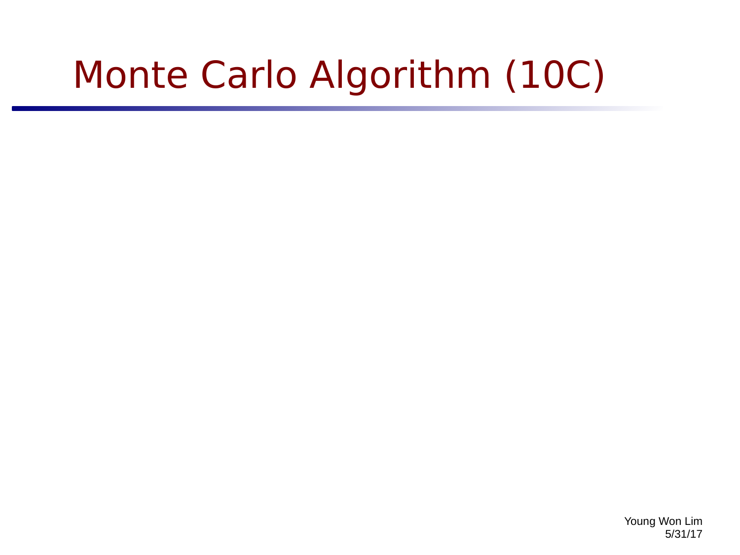# Monte Carlo Algorithm (10C)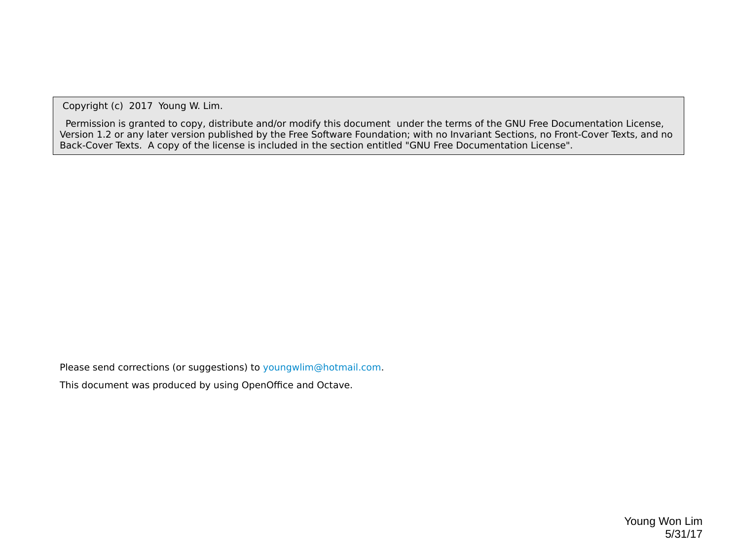Copyright (c) 2017 Young W. Lim.

 Permission is granted to copy, distribute and/or modify this document under the terms of the GNU Free Documentation License, Version 1.2 or any later version published by the Free Software Foundation; with no Invariant Sections, no Front-Cover Texts, and no Back-Cover Texts. A copy of the license is included in the section entitled "GNU Free Documentation License".

Please send corrections (or suggestions) to [youngwlim@hotmail.com](mailto:youngwlim@hotmail.com).

This document was produced by using OpenOffice and Octave.

Young Won Lim 5/31/17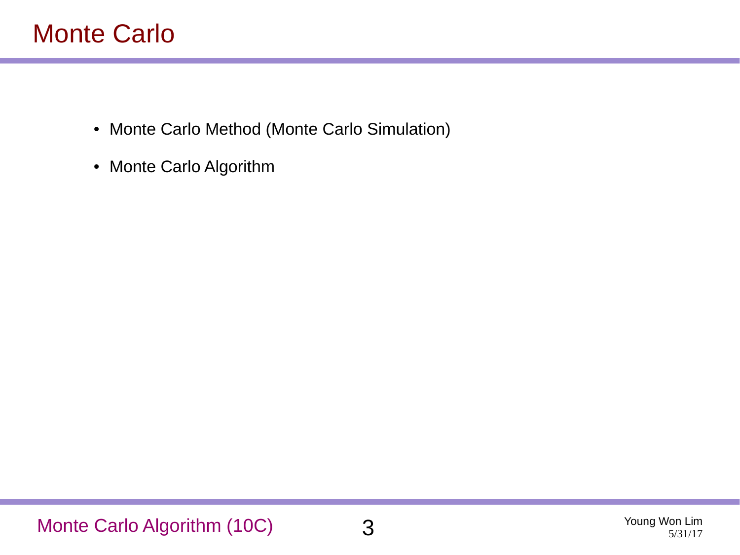- Monte Carlo Method (Monte Carlo Simulation)
- Monte Carlo Algorithm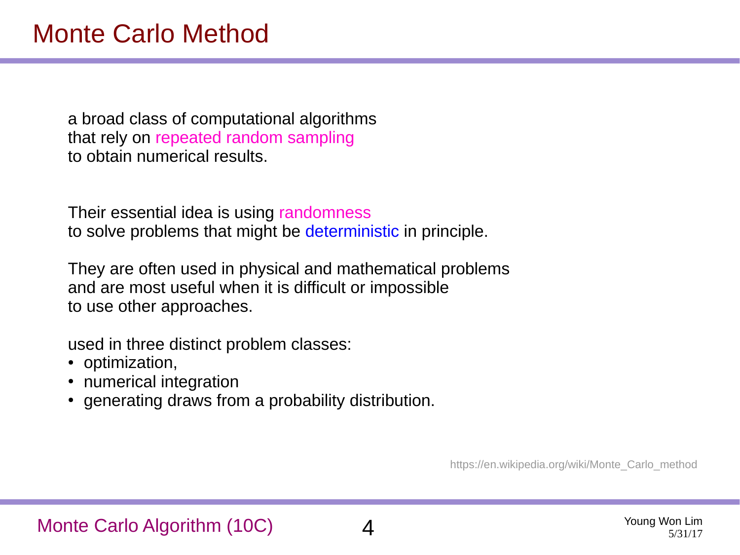a broad class of computational algorithms that rely on repeated random sampling to obtain numerical results.

Their essential idea is using randomness to solve problems that might be deterministic in principle.

They are often used in physical and mathematical problems and are most useful when it is difficult or impossible to use other approaches.

used in three distinct problem classes:

- optimization,
- numerical integration
- generating draws from a probability distribution.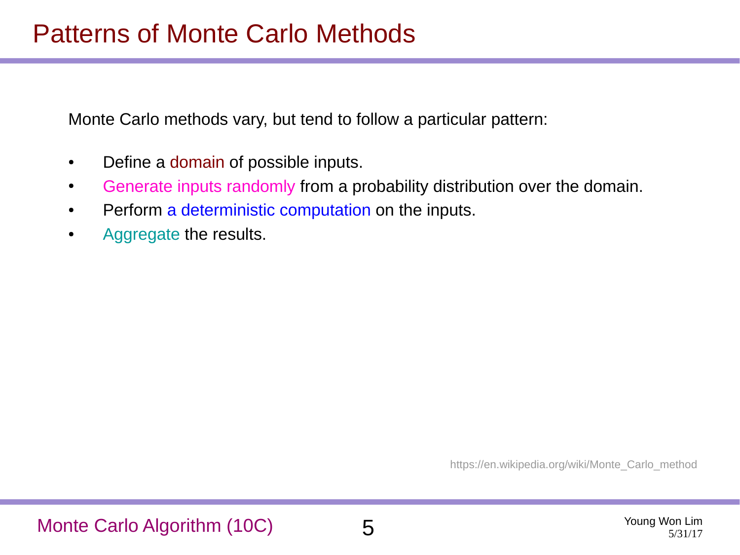Monte Carlo methods vary, but tend to follow a particular pattern:

- Define a domain of possible inputs.
- Generate inputs randomly from a probability distribution over the domain.
- Perform a deterministic computation on the inputs.
- Aggregate the results.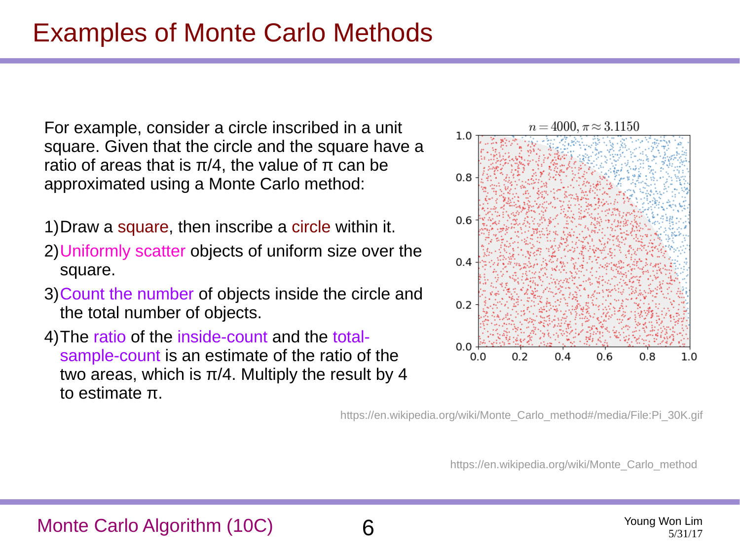For example, consider a circle inscribed in a unit square. Given that the circle and the square have a ratio of areas that is  $π/4$ , the value of π can be approximated using a Monte Carlo method:

1)Draw a square, then inscribe a circle within it.

- 2)Uniformly scatter objects of uniform size over the square.
- 3)Count the number of objects inside the circle and the total number of objects.
- 4)The ratio of the inside-count and the totalsample-count is an estimate of the ratio of the two areas, which is π/4. Multiply the result by 4 to estimate π.



https://en.wikipedia.org/wiki/Monte\_Carlo\_method#/media/File:Pi\_30K.gif

https://en.wikipedia.org/wiki/Monte\_Carlo\_method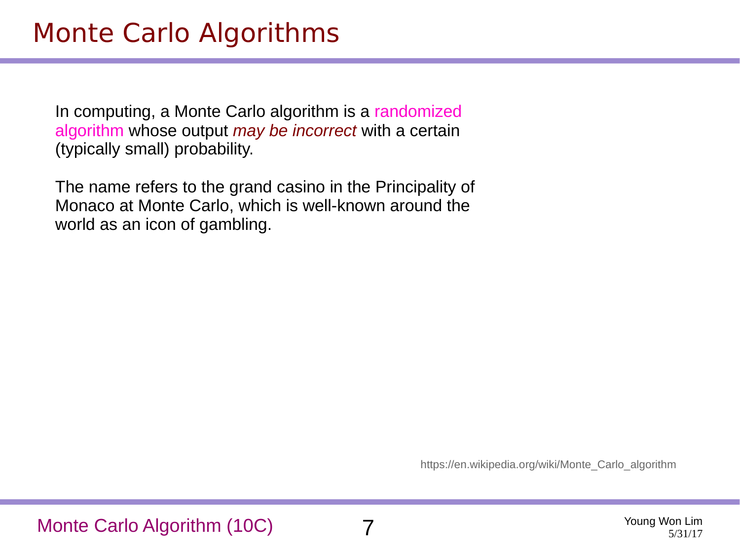In computing, a Monte Carlo algorithm is a randomized algorithm whose output *may be incorrect* with a certain (typically small) probability.

The name refers to the grand casino in the Principality of Monaco at Monte Carlo, which is well-known around the world as an icon of gambling.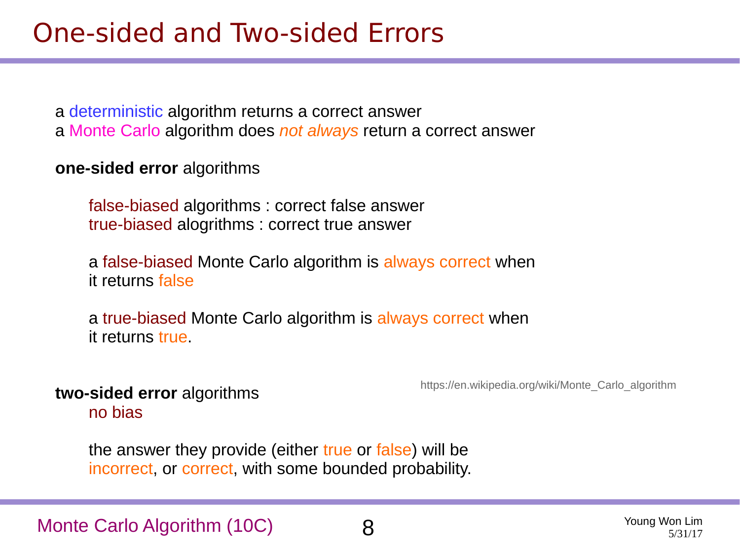#### One-sided and Two-sided Errors

a deterministic algorithm returns a correct answer a Monte Carlo algorithm does *not always* return a correct answer

**one-sided error** algorithms

false-biased algorithms : correct false answer true-biased alogrithms : correct true answer

a false-biased Monte Carlo algorithm is always correct when it returns false

a true-biased Monte Carlo algorithm is always correct when it returns true.

**two-sided error** algorithms no bias

https://en.wikipedia.org/wiki/Monte\_Carlo\_algorithm

the answer they provide (either true or false) will be incorrect, or correct, with some bounded probability.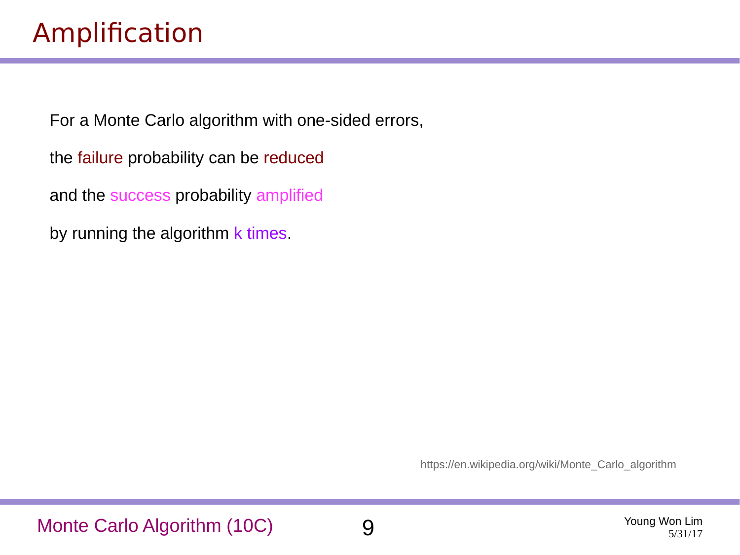## Amplification

For a Monte Carlo algorithm with one-sided errors,

the failure probability can be reduced

and the success probability amplified

by running the algorithm k times.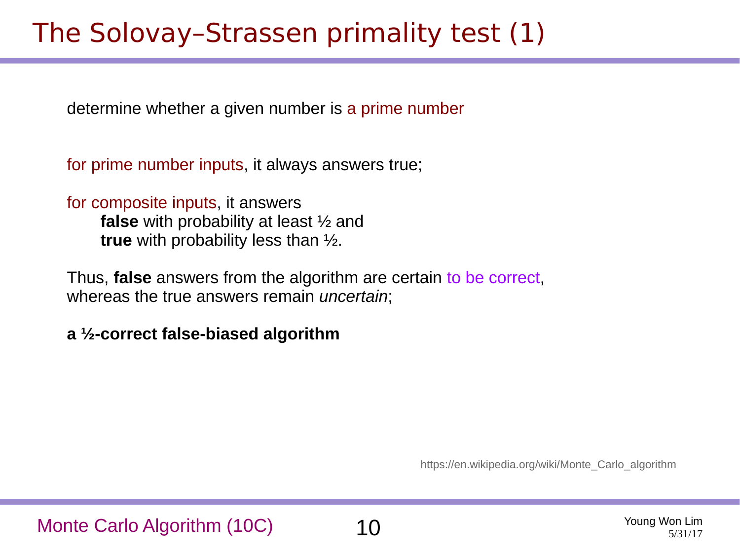## The Solovay–Strassen primality test (1)

determine whether a given number is a prime number

for prime number inputs, it always answers true;

for composite inputs, it answers **false** with probability at least ½ and **true** with probability less than ½.

Thus, **false** answers from the algorithm are certain to be correct, whereas the true answers remain *uncertain*;

**a ½-correct false-biased algorithm**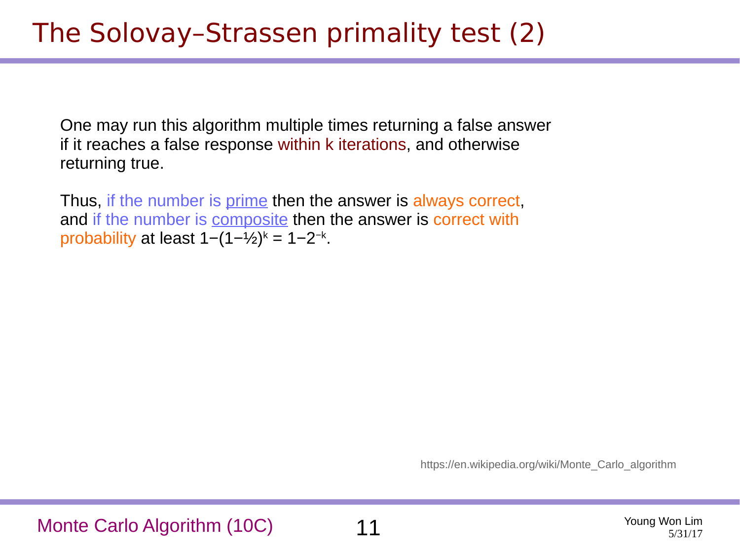One may run this algorithm multiple times returning a false answer if it reaches a false response within k iterations, and otherwise returning true.

Thus, if the number is prime then the answer is always correct, and if the number is composite then the answer is correct with probability at least  $1-(1-1/2)^{k} = 1-2^{-k}$ .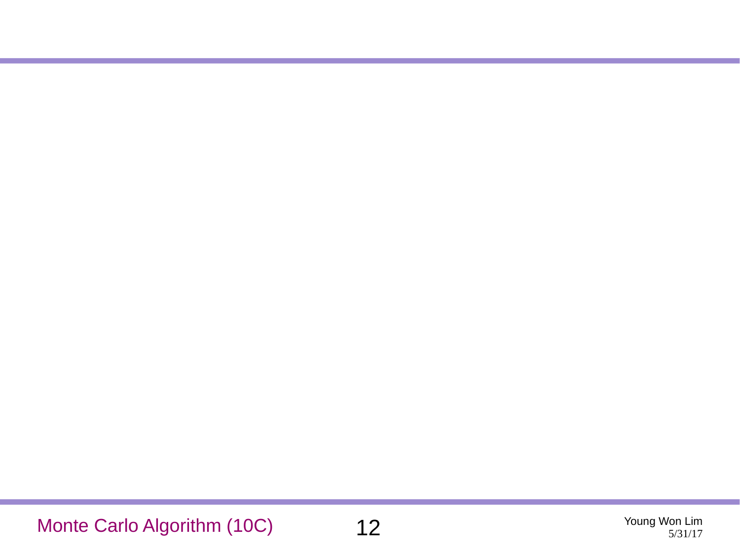Monte Carlo Algorithm (10C) 12